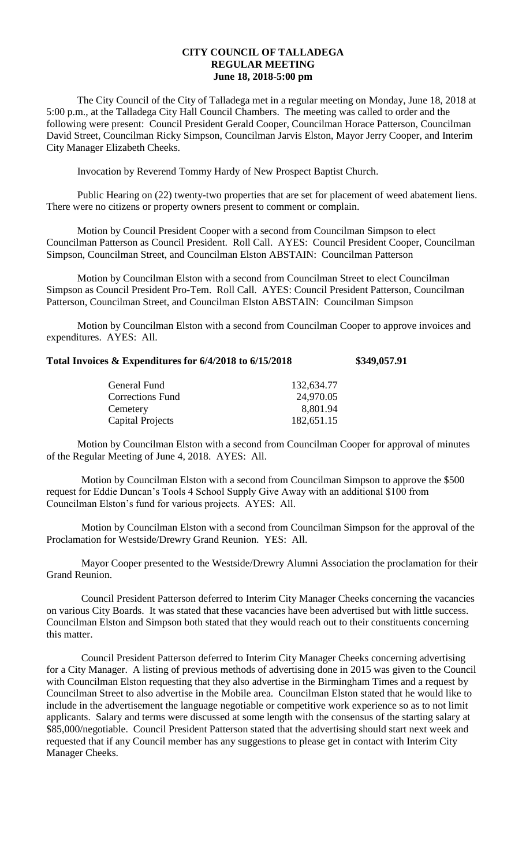## **CITY COUNCIL OF TALLADEGA REGULAR MEETING June 18, 2018-5:00 pm**

The City Council of the City of Talladega met in a regular meeting on Monday, June 18, 2018 at 5:00 p.m., at the Talladega City Hall Council Chambers. The meeting was called to order and the following were present: Council President Gerald Cooper, Councilman Horace Patterson, Councilman David Street, Councilman Ricky Simpson, Councilman Jarvis Elston, Mayor Jerry Cooper, and Interim City Manager Elizabeth Cheeks.

Invocation by Reverend Tommy Hardy of New Prospect Baptist Church.

Public Hearing on (22) twenty-two properties that are set for placement of weed abatement liens. There were no citizens or property owners present to comment or complain.

Motion by Council President Cooper with a second from Councilman Simpson to elect Councilman Patterson as Council President. Roll Call. AYES: Council President Cooper, Councilman Simpson, Councilman Street, and Councilman Elston ABSTAIN: Councilman Patterson

Motion by Councilman Elston with a second from Councilman Street to elect Councilman Simpson as Council President Pro-Tem. Roll Call. AYES: Council President Patterson, Councilman Patterson, Councilman Street, and Councilman Elston ABSTAIN: Councilman Simpson

Motion by Councilman Elston with a second from Councilman Cooper to approve invoices and expenditures. AYES: All.

# **Total Invoices & Expenditures for 6/4/2018 to 6/15/2018 \$349,057.91**

| 132,634.77 |
|------------|
| 24,970.05  |
| 8,801.94   |
| 182,651.15 |
|            |

Motion by Councilman Elston with a second from Councilman Cooper for approval of minutes of the Regular Meeting of June 4, 2018. AYES: All.

Motion by Councilman Elston with a second from Councilman Simpson to approve the \$500 request for Eddie Duncan's Tools 4 School Supply Give Away with an additional \$100 from Councilman Elston's fund for various projects. AYES: All.

Motion by Councilman Elston with a second from Councilman Simpson for the approval of the Proclamation for Westside/Drewry Grand Reunion. YES: All.

Mayor Cooper presented to the Westside/Drewry Alumni Association the proclamation for their Grand Reunion.

Council President Patterson deferred to Interim City Manager Cheeks concerning the vacancies on various City Boards. It was stated that these vacancies have been advertised but with little success. Councilman Elston and Simpson both stated that they would reach out to their constituents concerning this matter.

Council President Patterson deferred to Interim City Manager Cheeks concerning advertising for a City Manager. A listing of previous methods of advertising done in 2015 was given to the Council with Councilman Elston requesting that they also advertise in the Birmingham Times and a request by Councilman Street to also advertise in the Mobile area. Councilman Elston stated that he would like to include in the advertisement the language negotiable or competitive work experience so as to not limit applicants. Salary and terms were discussed at some length with the consensus of the starting salary at \$85,000/negotiable. Council President Patterson stated that the advertising should start next week and requested that if any Council member has any suggestions to please get in contact with Interim City Manager Cheeks.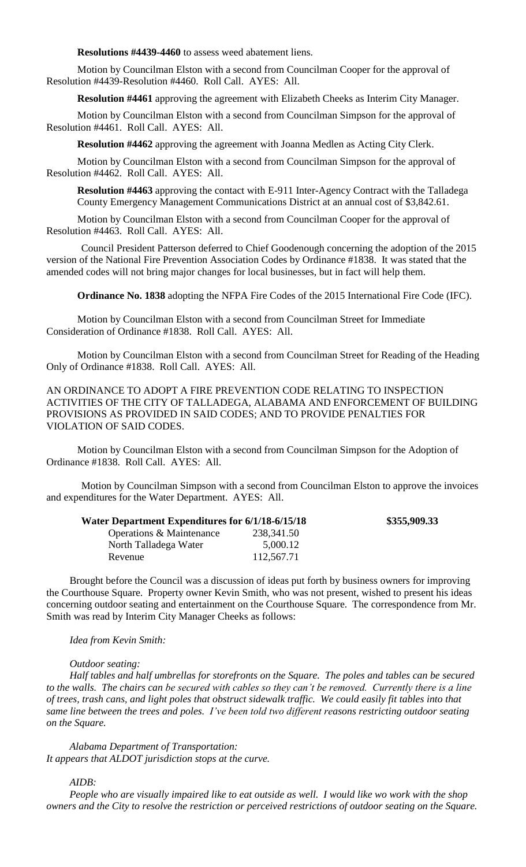**Resolutions #4439-4460** to assess weed abatement liens.

Motion by Councilman Elston with a second from Councilman Cooper for the approval of Resolution #4439-Resolution #4460. Roll Call. AYES: All.

**Resolution #4461** approving the agreement with Elizabeth Cheeks as Interim City Manager.

Motion by Councilman Elston with a second from Councilman Simpson for the approval of Resolution #4461. Roll Call. AYES: All.

**Resolution #4462** approving the agreement with Joanna Medlen as Acting City Clerk.

Motion by Councilman Elston with a second from Councilman Simpson for the approval of Resolution #4462. Roll Call. AYES: All.

**Resolution #4463** approving the contact with E-911 Inter-Agency Contract with the Talladega County Emergency Management Communications District at an annual cost of \$3,842.61.

Motion by Councilman Elston with a second from Councilman Cooper for the approval of Resolution #4463. Roll Call. AYES: All.

Council President Patterson deferred to Chief Goodenough concerning the adoption of the 2015 version of the National Fire Prevention Association Codes by Ordinance #1838. It was stated that the amended codes will not bring major changes for local businesses, but in fact will help them.

**Ordinance No. 1838** adopting the NFPA Fire Codes of the 2015 International Fire Code (IFC).

Motion by Councilman Elston with a second from Councilman Street for Immediate Consideration of Ordinance #1838. Roll Call. AYES: All.

Motion by Councilman Elston with a second from Councilman Street for Reading of the Heading Only of Ordinance #1838. Roll Call. AYES: All.

AN ORDINANCE TO ADOPT A FIRE PREVENTION CODE RELATING TO INSPECTION ACTIVITIES OF THE CITY OF TALLADEGA, ALABAMA AND ENFORCEMENT OF BUILDING PROVISIONS AS PROVIDED IN SAID CODES; AND TO PROVIDE PENALTIES FOR VIOLATION OF SAID CODES.

Motion by Councilman Elston with a second from Councilman Simpson for the Adoption of Ordinance #1838. Roll Call. AYES: All.

Motion by Councilman Simpson with a second from Councilman Elston to approve the invoices and expenditures for the Water Department. AYES: All.

| Water Department Expenditures for 6/1/18-6/15/18 | \$355,909.33 |
|--------------------------------------------------|--------------|
| 238, 341.50                                      |              |
| 5,000.12                                         |              |
| 112,567.71                                       |              |
|                                                  |              |

Brought before the Council was a discussion of ideas put forth by business owners for improving the Courthouse Square. Property owner Kevin Smith, who was not present, wished to present his ideas concerning outdoor seating and entertainment on the Courthouse Square. The correspondence from Mr. Smith was read by Interim City Manager Cheeks as follows:

*Idea from Kevin Smith:*

#### *Outdoor seating:*

*Half tables and half umbrellas for storefronts on the Square. The poles and tables can be secured to the walls. The chairs can be secured with cables so they can't be removed. Currently there is a line of trees, trash cans, and light poles that obstruct sidewalk traffic. We could easily fit tables into that same line between the trees and poles. I've been told two different reasons restricting outdoor seating on the Square.*

*Alabama Department of Transportation: It appears that ALDOT jurisdiction stops at the curve.*

## *AIDB:*

*People who are visually impaired like to eat outside as well. I would like wo work with the shop owners and the City to resolve the restriction or perceived restrictions of outdoor seating on the Square.*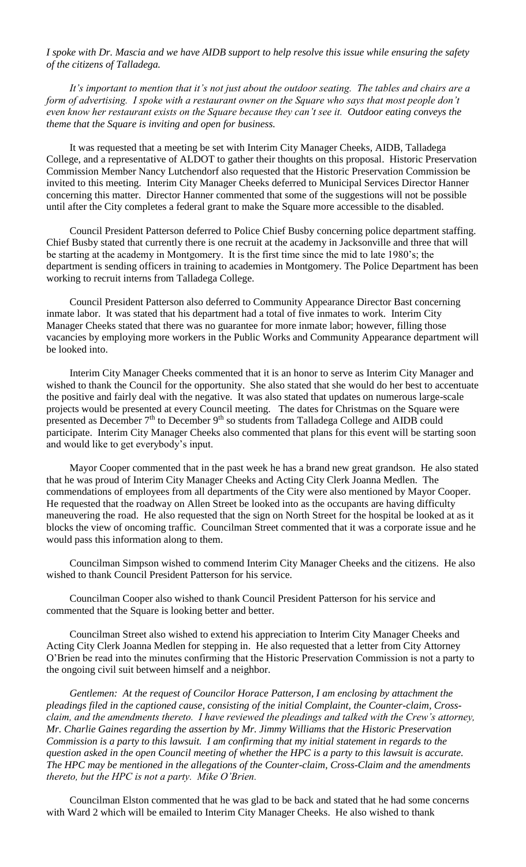*I spoke with Dr. Mascia and we have AIDB support to help resolve this issue while ensuring the safety of the citizens of Talladega.*

*It's important to mention that it's not just about the outdoor seating. The tables and chairs are a form of advertising. I spoke with a restaurant owner on the Square who says that most people don't even know her restaurant exists on the Square because they can't see it. Outdoor eating conveys the theme that the Square is inviting and open for business.*

It was requested that a meeting be set with Interim City Manager Cheeks, AIDB, Talladega College, and a representative of ALDOT to gather their thoughts on this proposal. Historic Preservation Commission Member Nancy Lutchendorf also requested that the Historic Preservation Commission be invited to this meeting. Interim City Manager Cheeks deferred to Municipal Services Director Hanner concerning this matter. Director Hanner commented that some of the suggestions will not be possible until after the City completes a federal grant to make the Square more accessible to the disabled.

Council President Patterson deferred to Police Chief Busby concerning police department staffing. Chief Busby stated that currently there is one recruit at the academy in Jacksonville and three that will be starting at the academy in Montgomery. It is the first time since the mid to late 1980's; the department is sending officers in training to academies in Montgomery. The Police Department has been working to recruit interns from Talladega College.

Council President Patterson also deferred to Community Appearance Director Bast concerning inmate labor. It was stated that his department had a total of five inmates to work. Interim City Manager Cheeks stated that there was no guarantee for more inmate labor; however, filling those vacancies by employing more workers in the Public Works and Community Appearance department will be looked into.

Interim City Manager Cheeks commented that it is an honor to serve as Interim City Manager and wished to thank the Council for the opportunity. She also stated that she would do her best to accentuate the positive and fairly deal with the negative. It was also stated that updates on numerous large-scale projects would be presented at every Council meeting. The dates for Christmas on the Square were presented as December  $7<sup>th</sup>$  to December  $9<sup>th</sup>$  so students from Talladega College and AIDB could participate. Interim City Manager Cheeks also commented that plans for this event will be starting soon and would like to get everybody's input.

Mayor Cooper commented that in the past week he has a brand new great grandson. He also stated that he was proud of Interim City Manager Cheeks and Acting City Clerk Joanna Medlen. The commendations of employees from all departments of the City were also mentioned by Mayor Cooper. He requested that the roadway on Allen Street be looked into as the occupants are having difficulty maneuvering the road. He also requested that the sign on North Street for the hospital be looked at as it blocks the view of oncoming traffic. Councilman Street commented that it was a corporate issue and he would pass this information along to them.

Councilman Simpson wished to commend Interim City Manager Cheeks and the citizens. He also wished to thank Council President Patterson for his service.

Councilman Cooper also wished to thank Council President Patterson for his service and commented that the Square is looking better and better.

Councilman Street also wished to extend his appreciation to Interim City Manager Cheeks and Acting City Clerk Joanna Medlen for stepping in. He also requested that a letter from City Attorney O'Brien be read into the minutes confirming that the Historic Preservation Commission is not a party to the ongoing civil suit between himself and a neighbor.

*Gentlemen: At the request of Councilor Horace Patterson, I am enclosing by attachment the pleadings filed in the captioned cause, consisting of the initial Complaint, the Counter-claim, Crossclaim, and the amendments thereto. I have reviewed the pleadings and talked with the Crew's attorney, Mr. Charlie Gaines regarding the assertion by Mr. Jimmy Williams that the Historic Preservation Commission is a party to this lawsuit. I am confirming that my initial statement in regards to the question asked in the open Council meeting of whether the HPC is a party to this lawsuit is accurate. The HPC may be mentioned in the allegations of the Counter-claim, Cross-Claim and the amendments thereto, but the HPC is not a party. Mike O'Brien.*

Councilman Elston commented that he was glad to be back and stated that he had some concerns with Ward 2 which will be emailed to Interim City Manager Cheeks. He also wished to thank